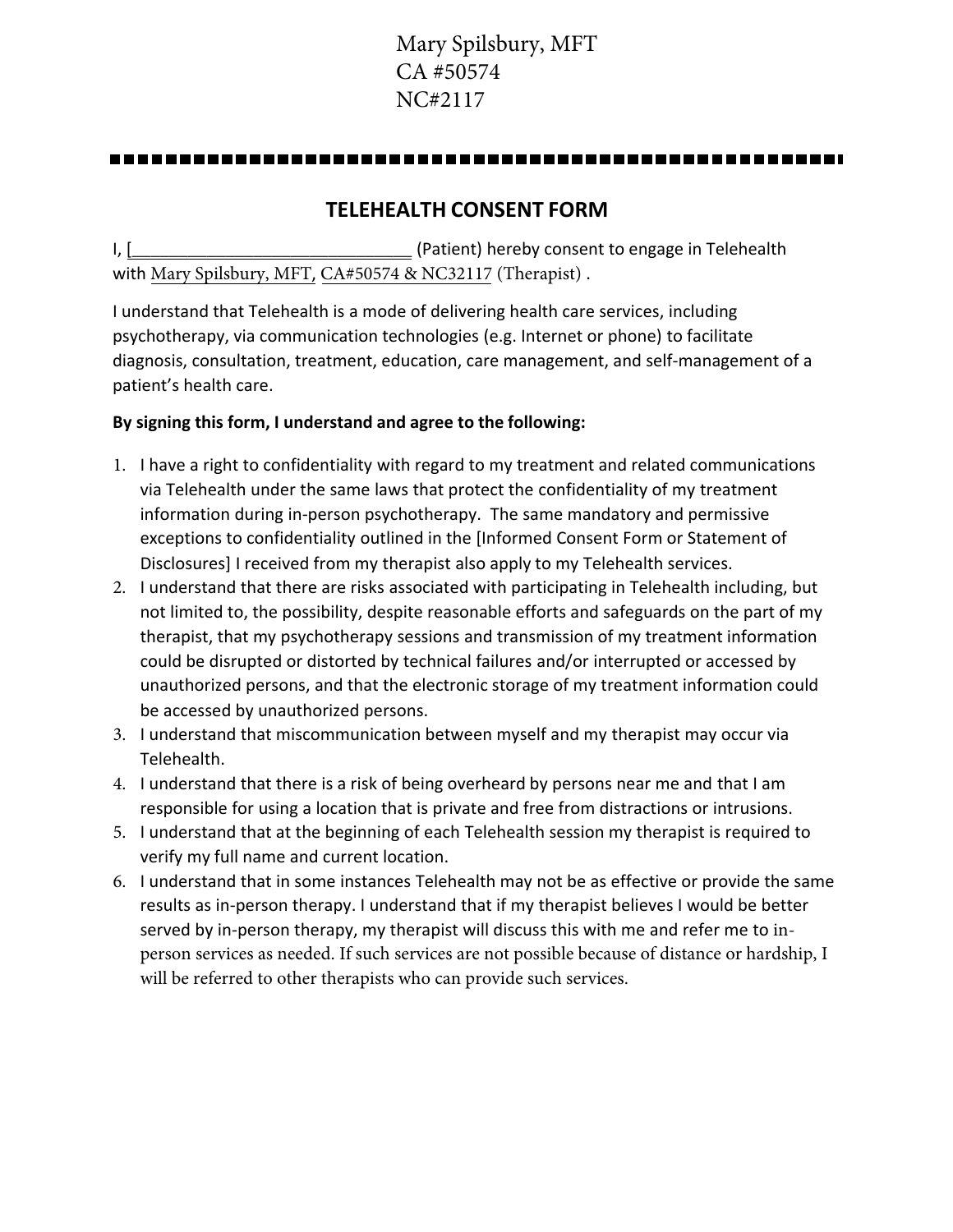# Mary Spilsbury, MFT CA #50574 NC#2117

#### 

### **TELEHEALTH CONSENT FORM**

I, [ The consenting of the consenting of the consenting of the consenting of the consent to engage in Telehealth with Mary Spilsbury, MFT, CA#50574 & NC32117 (Therapist) .

I understand that Telehealth is a mode of delivering health care services, including psychotherapy, via communication technologies (e.g. Internet or phone) to facilitate diagnosis, consultation, treatment, education, care management, and self-management of a patient's health care.

#### **By signing this form, I understand and agree to the following:**

- 1. I have a right to confidentiality with regard to my treatment and related communications via Telehealth under the same laws that protect the confidentiality of my treatment information during in-person psychotherapy. The same mandatory and permissive exceptions to confidentiality outlined in the [Informed Consent Form or Statement of Disclosures] I received from my therapist also apply to my Telehealth services.
- 2. I understand that there are risks associated with participating in Telehealth including, but not limited to, the possibility, despite reasonable efforts and safeguards on the part of my therapist, that my psychotherapy sessions and transmission of my treatment information could be disrupted or distorted by technical failures and/or interrupted or accessed by unauthorized persons, and that the electronic storage of my treatment information could be accessed by unauthorized persons.
- 3. I understand that miscommunication between myself and my therapist may occur via Telehealth.
- 4. I understand that there is a risk of being overheard by persons near me and that I am responsible for using a location that is private and free from distractions or intrusions.
- 5. I understand that at the beginning of each Telehealth session my therapist is required to verify my full name and current location.
- 6. I understand that in some instances Telehealth may not be as effective or provide the same results as in-person therapy. I understand that if my therapist believes I would be better served by in-person therapy, my therapist will discuss this with me and refer me to inperson services as needed. If such services are not possible because of distance or hardship, I will be referred to other therapists who can provide such services.